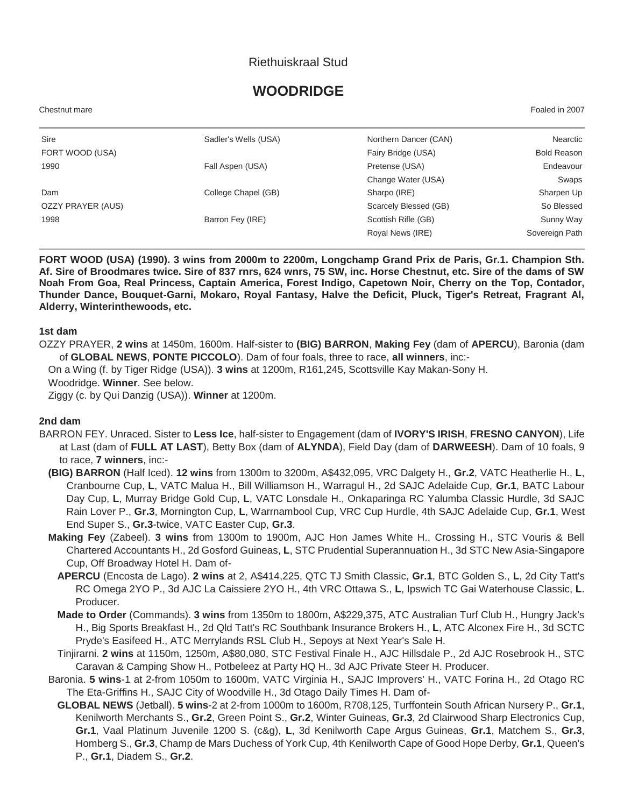## Riethuiskraal Stud

# **WOODRIDGE**

Chestnut mare Foaled in 2007

| Sire              | Sadler's Wells (USA) | Northern Dancer (CAN) | Nearctic           |
|-------------------|----------------------|-----------------------|--------------------|
| FORT WOOD (USA)   |                      | Fairy Bridge (USA)    | <b>Bold Reason</b> |
| 1990              | Fall Aspen (USA)     | Pretense (USA)        | Endeavour          |
|                   |                      | Change Water (USA)    | Swaps              |
| Dam               | College Chapel (GB)  | Sharpo (IRE)          | Sharpen Up         |
| OZZY PRAYER (AUS) |                      | Scarcely Blessed (GB) | So Blessed         |
| 1998              | Barron Fey (IRE)     | Scottish Rifle (GB)   | Sunny Way          |
|                   |                      | Royal News (IRE)      | Sovereign Path     |
|                   |                      |                       |                    |

**FORT WOOD (USA) (1990). 3 wins from 2000m to 2200m, Longchamp Grand Prix de Paris, Gr.1. Champion Sth. Af. Sire of Broodmares twice. Sire of 837 rnrs, 624 wnrs, 75 SW, inc. Horse Chestnut, etc. Sire of the dams of SW Noah From Goa, Real Princess, Captain America, Forest Indigo, Capetown Noir, Cherry on the Top, Contador, Thunder Dance, Bouquet-Garni, Mokaro, Royal Fantasy, Halve the Deficit, Pluck, Tiger's Retreat, Fragrant Al, Alderry, Winterinthewoods, etc.**

#### **1st dam**

OZZY PRAYER, **2 wins** at 1450m, 1600m. Half-sister to **(BIG) BARRON**, **Making Fey** (dam of **APERCU**), Baronia (dam of **GLOBAL NEWS**, **PONTE PICCOLO**). Dam of four foals, three to race, **all winners**, inc:-

On a Wing (f. by Tiger Ridge (USA)). **3 wins** at 1200m, R161,245, Scottsville Kay Makan-Sony H.

Woodridge. **Winner**. See below.

Ziggy (c. by Qui Danzig (USA)). **Winner** at 1200m.

#### **2nd dam**

- BARRON FEY. Unraced. Sister to **Less Ice**, half-sister to Engagement (dam of **IVORY'S IRISH**, **FRESNO CANYON**), Life at Last (dam of **FULL AT LAST**), Betty Box (dam of **ALYNDA**), Field Day (dam of **DARWEESH**). Dam of 10 foals, 9 to race, **7 winners**, inc:-
	- **(BIG) BARRON** (Half Iced). **12 wins** from 1300m to 3200m, A\$432,095, VRC Dalgety H., **Gr.2**, VATC Heatherlie H., **L**, Cranbourne Cup, **L**, VATC Malua H., Bill Williamson H., Warragul H., 2d SAJC Adelaide Cup, **Gr.1**, BATC Labour Day Cup, **L**, Murray Bridge Gold Cup, **L**, VATC Lonsdale H., Onkaparinga RC Yalumba Classic Hurdle, 3d SAJC Rain Lover P., **Gr.3**, Mornington Cup, **L**, Warrnambool Cup, VRC Cup Hurdle, 4th SAJC Adelaide Cup, **Gr.1**, West End Super S., **Gr.3**-twice, VATC Easter Cup, **Gr.3**.
	- **Making Fey** (Zabeel). **3 wins** from 1300m to 1900m, AJC Hon James White H., Crossing H., STC Vouris & Bell Chartered Accountants H., 2d Gosford Guineas, **L**, STC Prudential Superannuation H., 3d STC New Asia-Singapore Cup, Off Broadway Hotel H. Dam of-
		- **APERCU** (Encosta de Lago). **2 wins** at 2, A\$414,225, QTC TJ Smith Classic, **Gr.1**, BTC Golden S., **L**, 2d City Tatt's RC Omega 2YO P., 3d AJC La Caissiere 2YO H., 4th VRC Ottawa S., **L**, Ipswich TC Gai Waterhouse Classic, **L**. Producer.
		- **Made to Order** (Commands). **3 wins** from 1350m to 1800m, A\$229,375, ATC Australian Turf Club H., Hungry Jack's H., Big Sports Breakfast H., 2d Qld Tatt's RC Southbank Insurance Brokers H., **L**, ATC Alconex Fire H., 3d SCTC Pryde's Easifeed H., ATC Merrylands RSL Club H., Sepoys at Next Year's Sale H.
	- Tinjirarni. **2 wins** at 1150m, 1250m, A\$80,080, STC Festival Finale H., AJC Hillsdale P., 2d AJC Rosebrook H., STC Caravan & Camping Show H., Potbeleez at Party HQ H., 3d AJC Private Steer H. Producer.
	- Baronia. **5 wins**-1 at 2-from 1050m to 1600m, VATC Virginia H., SAJC Improvers' H., VATC Forina H., 2d Otago RC The Eta-Griffins H., SAJC City of Woodville H., 3d Otago Daily Times H. Dam of-
		- **GLOBAL NEWS** (Jetball). **5 wins**-2 at 2-from 1000m to 1600m, R708,125, Turffontein South African Nursery P., **Gr.1**, Kenilworth Merchants S., **Gr.2**, Green Point S., **Gr.2**, Winter Guineas, **Gr.3**, 2d Clairwood Sharp Electronics Cup, **Gr.1**, Vaal Platinum Juvenile 1200 S. (c&g), **L**, 3d Kenilworth Cape Argus Guineas, **Gr.1**, Matchem S., **Gr.3**, Homberg S., **Gr.3**, Champ de Mars Duchess of York Cup, 4th Kenilworth Cape of Good Hope Derby, **Gr.1**, Queen's P., **Gr.1**, Diadem S., **Gr.2**.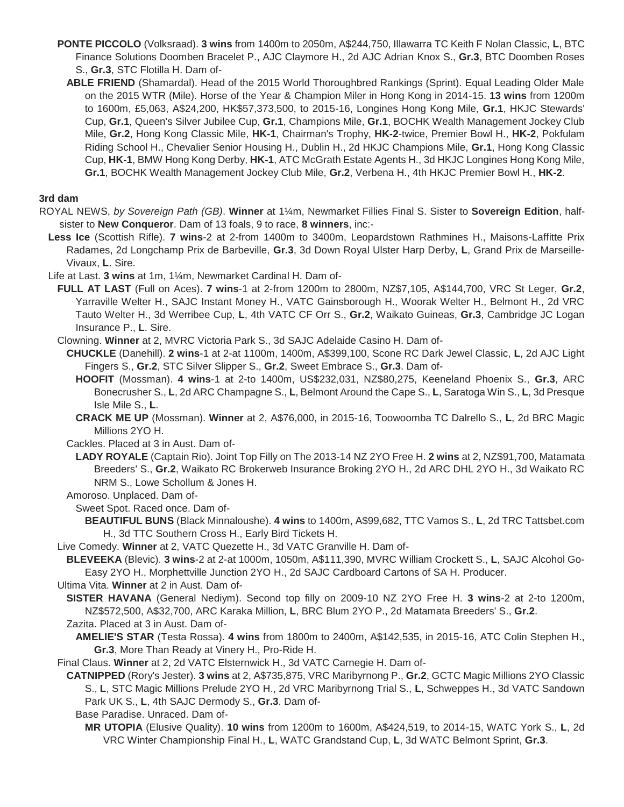- **PONTE PICCOLO** (Volksraad). **3 wins** from 1400m to 2050m, A\$244,750, Illawarra TC Keith F Nolan Classic, **L**, BTC Finance Solutions Doomben Bracelet P., AJC Claymore H., 2d AJC Adrian Knox S., **Gr.3**, BTC Doomben Roses S., **Gr.3**, STC Flotilla H. Dam of-
	- **ABLE FRIEND** (Shamardal). Head of the 2015 World Thoroughbred Rankings (Sprint). Equal Leading Older Male on the 2015 WTR (Mile). Horse of the Year & Champion Miler in Hong Kong in 2014-15. **13 wins** from 1200m to 1600m, £5,063, A\$24,200, HK\$57,373,500, to 2015-16, Longines Hong Kong Mile, **Gr.1**, HKJC Stewards' Cup, **Gr.1**, Queen's Silver Jubilee Cup, **Gr.1**, Champions Mile, **Gr.1**, BOCHK Wealth Management Jockey Club Mile, **Gr.2**, Hong Kong Classic Mile, **HK-1**, Chairman's Trophy, **HK-2**-twice, Premier Bowl H., **HK-2**, Pokfulam Riding School H., Chevalier Senior Housing H., Dublin H., 2d HKJC Champions Mile, **Gr.1**, Hong Kong Classic Cup, **HK-1**, BMW Hong Kong Derby, **HK-1**, ATC McGrath Estate Agents H., 3d HKJC Longines Hong Kong Mile, **Gr.1**, BOCHK Wealth Management Jockey Club Mile, **Gr.2**, Verbena H., 4th HKJC Premier Bowl H., **HK-2**.

## **3rd dam**

- ROYAL NEWS, *by Sovereign Path (GB)*. **Winner** at 1¼m, Newmarket Fillies Final S. Sister to **Sovereign Edition**, halfsister to **New Conqueror**. Dam of 13 foals, 9 to race, **8 winners**, inc:-
	- **Less Ice** (Scottish Rifle). **7 wins**-2 at 2-from 1400m to 3400m, Leopardstown Rathmines H., Maisons-Laffitte Prix Radames, 2d Longchamp Prix de Barbeville, **Gr.3**, 3d Down Royal Ulster Harp Derby, **L**, Grand Prix de Marseille-Vivaux, **L**. Sire.
	- Life at Last. **3 wins** at 1m, 1¼m, Newmarket Cardinal H. Dam of-
		- **FULL AT LAST** (Full on Aces). **7 wins**-1 at 2-from 1200m to 2800m, NZ\$7,105, A\$144,700, VRC St Leger, **Gr.2**, Yarraville Welter H., SAJC Instant Money H., VATC Gainsborough H., Woorak Welter H., Belmont H., 2d VRC Tauto Welter H., 3d Werribee Cup, **L**, 4th VATC CF Orr S., **Gr.2**, Waikato Guineas, **Gr.3**, Cambridge JC Logan Insurance P., **L**. Sire.

Clowning. **Winner** at 2, MVRC Victoria Park S., 3d SAJC Adelaide Casino H. Dam of-

**CHUCKLE** (Danehill). **2 wins**-1 at 2-at 1100m, 1400m, A\$399,100, Scone RC Dark Jewel Classic, **L**, 2d AJC Light Fingers S., **Gr.2**, STC Silver Slipper S., **Gr.2**, Sweet Embrace S., **Gr.3**. Dam of-

- **HOOFIT** (Mossman). **4 wins**-1 at 2-to 1400m, US\$232,031, NZ\$80,275, Keeneland Phoenix S., **Gr.3**, ARC Bonecrusher S., **L**, 2d ARC Champagne S., **L**, Belmont Around the Cape S., **L**, Saratoga Win S., **L**, 3d Presque Isle Mile S., **L**.
- **CRACK ME UP** (Mossman). **Winner** at 2, A\$76,000, in 2015-16, Toowoomba TC Dalrello S., **L**, 2d BRC Magic Millions 2YO H.
- Cackles. Placed at 3 in Aust. Dam of-
- **LADY ROYALE** (Captain Rio). Joint Top Filly on The 2013-14 NZ 2YO Free H. **2 wins** at 2, NZ\$91,700, Matamata Breeders' S., **Gr.2**, Waikato RC Brokerweb Insurance Broking 2YO H., 2d ARC DHL 2YO H., 3d Waikato RC NRM S., Lowe Schollum & Jones H.
- Amoroso. Unplaced. Dam of-
	- Sweet Spot. Raced once. Dam of-
		- **BEAUTIFUL BUNS** (Black Minnaloushe). **4 wins** to 1400m, A\$99,682, TTC Vamos S., **L**, 2d TRC Tattsbet.com H., 3d TTC Southern Cross H., Early Bird Tickets H.
- Live Comedy. **Winner** at 2, VATC Quezette H., 3d VATC Granville H. Dam of-
- **BLEVEEKA** (Blevic). **3 wins**-2 at 2-at 1000m, 1050m, A\$111,390, MVRC William Crockett S., **L**, SAJC Alcohol Go-Easy 2YO H., Morphettville Junction 2YO H., 2d SAJC Cardboard Cartons of SA H. Producer.
- Ultima Vita. **Winner** at 2 in Aust. Dam of-
- **SISTER HAVANA** (General Nediym). Second top filly on 2009-10 NZ 2YO Free H. **3 wins**-2 at 2-to 1200m, NZ\$572,500, A\$32,700, ARC Karaka Million, **L**, BRC Blum 2YO P., 2d Matamata Breeders' S., **Gr.2**.
- Zazita. Placed at 3 in Aust. Dam of-
- **AMELIE'S STAR** (Testa Rossa). **4 wins** from 1800m to 2400m, A\$142,535, in 2015-16, ATC Colin Stephen H., **Gr.3**, More Than Ready at Vinery H., Pro-Ride H.
- Final Claus. **Winner** at 2, 2d VATC Elsternwick H., 3d VATC Carnegie H. Dam of-
- **CATNIPPED** (Rory's Jester). **3 wins** at 2, A\$735,875, VRC Maribyrnong P., **Gr.2**, GCTC Magic Millions 2YO Classic S., **L**, STC Magic Millions Prelude 2YO H., 2d VRC Maribyrnong Trial S., **L**, Schweppes H., 3d VATC Sandown Park UK S., **L**, 4th SAJC Dermody S., **Gr.3**. Dam of-
	- Base Paradise. Unraced. Dam of-
		- **MR UTOPIA** (Elusive Quality). **10 wins** from 1200m to 1600m, A\$424,519, to 2014-15, WATC York S., **L**, 2d VRC Winter Championship Final H., **L**, WATC Grandstand Cup, **L**, 3d WATC Belmont Sprint, **Gr.3**.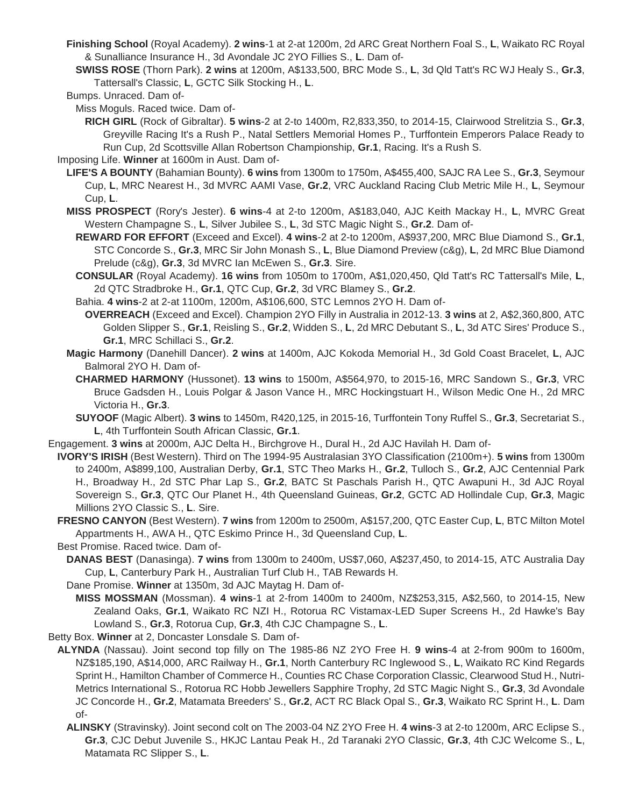- **Finishing School** (Royal Academy). **2 wins**-1 at 2-at 1200m, 2d ARC Great Northern Foal S., **L**, Waikato RC Royal & Sunalliance Insurance H., 3d Avondale JC 2YO Fillies S., **L**. Dam of-
- **SWISS ROSE** (Thorn Park). **2 wins** at 1200m, A\$133,500, BRC Mode S., **L**, 3d Qld Tatt's RC WJ Healy S., **Gr.3**, Tattersall's Classic, **L**, GCTC Silk Stocking H., **L**.
- Bumps. Unraced. Dam of-

Miss Moguls. Raced twice. Dam of-

**RICH GIRL** (Rock of Gibraltar). **5 wins**-2 at 2-to 1400m, R2,833,350, to 2014-15, Clairwood Strelitzia S., **Gr.3**, Greyville Racing It's a Rush P., Natal Settlers Memorial Homes P., Turffontein Emperors Palace Ready to Run Cup, 2d Scottsville Allan Robertson Championship, **Gr.1**, Racing. It's a Rush S.

Imposing Life. **Winner** at 1600m in Aust. Dam of-

- **LIFE'S A BOUNTY** (Bahamian Bounty). **6 wins** from 1300m to 1750m, A\$455,400, SAJC RA Lee S., **Gr.3**, Seymour Cup, **L**, MRC Nearest H., 3d MVRC AAMI Vase, **Gr.2**, VRC Auckland Racing Club Metric Mile H., **L**, Seymour Cup, **L**.
- **MISS PROSPECT** (Rory's Jester). **6 wins**-4 at 2-to 1200m, A\$183,040, AJC Keith Mackay H., **L**, MVRC Great Western Champagne S., **L**, Silver Jubilee S., **L**, 3d STC Magic Night S., **Gr.2**. Dam of-
	- **REWARD FOR EFFORT** (Exceed and Excel). **4 wins**-2 at 2-to 1200m, A\$937,200, MRC Blue Diamond S., **Gr.1**, STC Concorde S., **Gr.3**, MRC Sir John Monash S., **L**, Blue Diamond Preview (c&g), **L**, 2d MRC Blue Diamond Prelude (c&g), **Gr.3**, 3d MVRC Ian McEwen S., **Gr.3**. Sire.
	- **CONSULAR** (Royal Academy). **16 wins** from 1050m to 1700m, A\$1,020,450, Qld Tatt's RC Tattersall's Mile, **L**, 2d QTC Stradbroke H., **Gr.1**, QTC Cup, **Gr.2**, 3d VRC Blamey S., **Gr.2**.
	- Bahia. **4 wins**-2 at 2-at 1100m, 1200m, A\$106,600, STC Lemnos 2YO H. Dam of-
	- **OVERREACH** (Exceed and Excel). Champion 2YO Filly in Australia in 2012-13. **3 wins** at 2, A\$2,360,800, ATC Golden Slipper S., **Gr.1**, Reisling S., **Gr.2**, Widden S., **L**, 2d MRC Debutant S., **L**, 3d ATC Sires' Produce S., **Gr.1**, MRC Schillaci S., **Gr.2**.
- **Magic Harmony** (Danehill Dancer). **2 wins** at 1400m, AJC Kokoda Memorial H., 3d Gold Coast Bracelet, **L**, AJC Balmoral 2YO H. Dam of-
	- **CHARMED HARMONY** (Hussonet). **13 wins** to 1500m, A\$564,970, to 2015-16, MRC Sandown S., **Gr.3**, VRC Bruce Gadsden H., Louis Polgar & Jason Vance H., MRC Hockingstuart H., Wilson Medic One H., 2d MRC Victoria H., **Gr.3**.
	- **SUYOOF** (Magic Albert). **3 wins** to 1450m, R420,125, in 2015-16, Turffontein Tony Ruffel S., **Gr.3**, Secretariat S., **L**, 4th Turffontein South African Classic, **Gr.1**.
- Engagement. **3 wins** at 2000m, AJC Delta H., Birchgrove H., Dural H., 2d AJC Havilah H. Dam of-
	- **IVORY'S IRISH** (Best Western). Third on The 1994-95 Australasian 3YO Classification (2100m+). **5 wins** from 1300m to 2400m, A\$899,100, Australian Derby, **Gr.1**, STC Theo Marks H., **Gr.2**, Tulloch S., **Gr.2**, AJC Centennial Park H., Broadway H., 2d STC Phar Lap S., **Gr.2**, BATC St Paschals Parish H., QTC Awapuni H., 3d AJC Royal Sovereign S., **Gr.3**, QTC Our Planet H., 4th Queensland Guineas, **Gr.2**, GCTC AD Hollindale Cup, **Gr.3**, Magic Millions 2YO Classic S., **L**. Sire.
	- **FRESNO CANYON** (Best Western). **7 wins** from 1200m to 2500m, A\$157,200, QTC Easter Cup, **L**, BTC Milton Motel Appartments H., AWA H., QTC Eskimo Prince H., 3d Queensland Cup, **L**.

Best Promise. Raced twice. Dam of-

**DANAS BEST** (Danasinga). **7 wins** from 1300m to 2400m, US\$7,060, A\$237,450, to 2014-15, ATC Australia Day Cup, **L**, Canterbury Park H., Australian Turf Club H., TAB Rewards H.

Dane Promise. **Winner** at 1350m, 3d AJC Maytag H. Dam of-

**MISS MOSSMAN** (Mossman). **4 wins**-1 at 2-from 1400m to 2400m, NZ\$253,315, A\$2,560, to 2014-15, New Zealand Oaks, **Gr.1**, Waikato RC NZI H., Rotorua RC Vistamax-LED Super Screens H., 2d Hawke's Bay Lowland S., **Gr.3**, Rotorua Cup, **Gr.3**, 4th CJC Champagne S., **L**.

Betty Box. **Winner** at 2, Doncaster Lonsdale S. Dam of-

- **ALYNDA** (Nassau). Joint second top filly on The 1985-86 NZ 2YO Free H. **9 wins**-4 at 2-from 900m to 1600m, NZ\$185,190, A\$14,000, ARC Railway H., **Gr.1**, North Canterbury RC Inglewood S., **L**, Waikato RC Kind Regards Sprint H., Hamilton Chamber of Commerce H., Counties RC Chase Corporation Classic, Clearwood Stud H., Nutri-Metrics International S., Rotorua RC Hobb Jewellers Sapphire Trophy, 2d STC Magic Night S., **Gr.3**, 3d Avondale JC Concorde H., **Gr.2**, Matamata Breeders' S., **Gr.2**, ACT RC Black Opal S., **Gr.3**, Waikato RC Sprint H., **L**. Dam of-
	- **ALINSKY** (Stravinsky). Joint second colt on The 2003-04 NZ 2YO Free H. **4 wins**-3 at 2-to 1200m, ARC Eclipse S., **Gr.3**, CJC Debut Juvenile S., HKJC Lantau Peak H., 2d Taranaki 2YO Classic, **Gr.3**, 4th CJC Welcome S., **L**, Matamata RC Slipper S., **L**.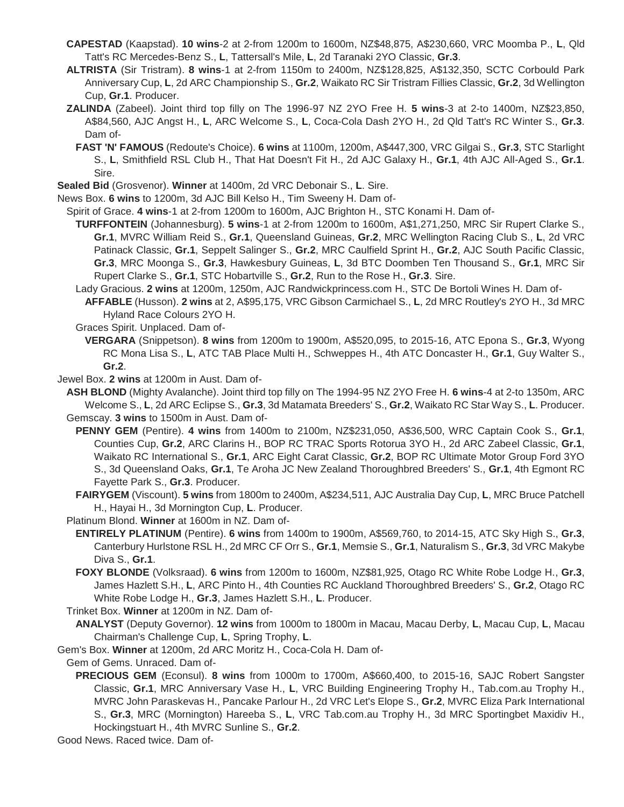- **CAPESTAD** (Kaapstad). **10 wins**-2 at 2-from 1200m to 1600m, NZ\$48,875, A\$230,660, VRC Moomba P., **L**, Qld Tatt's RC Mercedes-Benz S., **L**, Tattersall's Mile, **L**, 2d Taranaki 2YO Classic, **Gr.3**.
- **ALTRISTA** (Sir Tristram). **8 wins**-1 at 2-from 1150m to 2400m, NZ\$128,825, A\$132,350, SCTC Corbould Park Anniversary Cup, **L**, 2d ARC Championship S., **Gr.2**, Waikato RC Sir Tristram Fillies Classic, **Gr.2**, 3d Wellington Cup, **Gr.1**. Producer.
- **ZALINDA** (Zabeel). Joint third top filly on The 1996-97 NZ 2YO Free H. **5 wins**-3 at 2-to 1400m, NZ\$23,850, A\$84,560, AJC Angst H., **L**, ARC Welcome S., **L**, Coca-Cola Dash 2YO H., 2d Qld Tatt's RC Winter S., **Gr.3**. Dam of-
	- **FAST 'N' FAMOUS** (Redoute's Choice). **6 wins** at 1100m, 1200m, A\$447,300, VRC Gilgai S., **Gr.3**, STC Starlight S., **L**, Smithfield RSL Club H., That Hat Doesn't Fit H., 2d AJC Galaxy H., **Gr.1**, 4th AJC All-Aged S., **Gr.1**. Sire.

**Sealed Bid** (Grosvenor). **Winner** at 1400m, 2d VRC Debonair S., **L**. Sire.

News Box. **6 wins** to 1200m, 3d AJC Bill Kelso H., Tim Sweeny H. Dam of-

Spirit of Grace. **4 wins**-1 at 2-from 1200m to 1600m, AJC Brighton H., STC Konami H. Dam of-

**TURFFONTEIN** (Johannesburg). **5 wins**-1 at 2-from 1200m to 1600m, A\$1,271,250, MRC Sir Rupert Clarke S., **Gr.1**, MVRC William Reid S., **Gr.1**, Queensland Guineas, **Gr.2**, MRC Wellington Racing Club S., **L**, 2d VRC Patinack Classic, **Gr.1**, Seppelt Salinger S., **Gr.2**, MRC Caulfield Sprint H., **Gr.2**, AJC South Pacific Classic, **Gr.3**, MRC Moonga S., **Gr.3**, Hawkesbury Guineas, **L**, 3d BTC Doomben Ten Thousand S., **Gr.1**, MRC Sir Rupert Clarke S., **Gr.1**, STC Hobartville S., **Gr.2**, Run to the Rose H., **Gr.3**. Sire.

Lady Gracious. **2 wins** at 1200m, 1250m, AJC Randwickprincess.com H., STC De Bortoli Wines H. Dam of-

**AFFABLE** (Husson). **2 wins** at 2, A\$95,175, VRC Gibson Carmichael S., **L**, 2d MRC Routley's 2YO H., 3d MRC Hyland Race Colours 2YO H.

Graces Spirit. Unplaced. Dam of-

**VERGARA** (Snippetson). **8 wins** from 1200m to 1900m, A\$520,095, to 2015-16, ATC Epona S., **Gr.3**, Wyong RC Mona Lisa S., **L**, ATC TAB Place Multi H., Schweppes H., 4th ATC Doncaster H., **Gr.1**, Guy Walter S., **Gr.2**.

Jewel Box. **2 wins** at 1200m in Aust. Dam of-

**ASH BLOND** (Mighty Avalanche). Joint third top filly on The 1994-95 NZ 2YO Free H. **6 wins**-4 at 2-to 1350m, ARC Welcome S., **L**, 2d ARC Eclipse S., **Gr.3**, 3d Matamata Breeders' S., **Gr.2**, Waikato RC Star Way S., **L**. Producer. Gemscay. **3 wins** to 1500m in Aust. Dam of-

**PENNY GEM** (Pentire). **4 wins** from 1400m to 2100m, NZ\$231,050, A\$36,500, WRC Captain Cook S., **Gr.1**, Counties Cup, **Gr.2**, ARC Clarins H., BOP RC TRAC Sports Rotorua 3YO H., 2d ARC Zabeel Classic, **Gr.1**, Waikato RC International S., **Gr.1**, ARC Eight Carat Classic, **Gr.2**, BOP RC Ultimate Motor Group Ford 3YO S., 3d Queensland Oaks, **Gr.1**, Te Aroha JC New Zealand Thoroughbred Breeders' S., **Gr.1**, 4th Egmont RC Fayette Park S., **Gr.3**. Producer.

**FAIRYGEM** (Viscount). **5 wins** from 1800m to 2400m, A\$234,511, AJC Australia Day Cup, **L**, MRC Bruce Patchell H., Hayai H., 3d Mornington Cup, **L**. Producer.

Platinum Blond. **Winner** at 1600m in NZ. Dam of-

- **ENTIRELY PLATINUM** (Pentire). **6 wins** from 1400m to 1900m, A\$569,760, to 2014-15, ATC Sky High S., **Gr.3**, Canterbury Hurlstone RSL H., 2d MRC CF Orr S., **Gr.1**, Memsie S., **Gr.1**, Naturalism S., **Gr.3**, 3d VRC Makybe Diva S., **Gr.1**.
- **FOXY BLONDE** (Volksraad). **6 wins** from 1200m to 1600m, NZ\$81,925, Otago RC White Robe Lodge H., **Gr.3**, James Hazlett S.H., **L**, ARC Pinto H., 4th Counties RC Auckland Thoroughbred Breeders' S., **Gr.2**, Otago RC White Robe Lodge H., **Gr.3**, James Hazlett S.H., **L**. Producer.

Trinket Box. **Winner** at 1200m in NZ. Dam of-

**ANALYST** (Deputy Governor). **12 wins** from 1000m to 1800m in Macau, Macau Derby, **L**, Macau Cup, **L**, Macau Chairman's Challenge Cup, **L**, Spring Trophy, **L**.

Gem's Box. **Winner** at 1200m, 2d ARC Moritz H., Coca-Cola H. Dam of-

Gem of Gems. Unraced. Dam of-

**PRECIOUS GEM** (Econsul). **8 wins** from 1000m to 1700m, A\$660,400, to 2015-16, SAJC Robert Sangster Classic, **Gr.1**, MRC Anniversary Vase H., **L**, VRC Building Engineering Trophy H., Tab.com.au Trophy H., MVRC John Paraskevas H., Pancake Parlour H., 2d VRC Let's Elope S., **Gr.2**, MVRC Eliza Park International S., **Gr.3**, MRC (Mornington) Hareeba S., **L**, VRC Tab.com.au Trophy H., 3d MRC Sportingbet Maxidiv H., Hockingstuart H., 4th MVRC Sunline S., **Gr.2**.

Good News. Raced twice. Dam of-